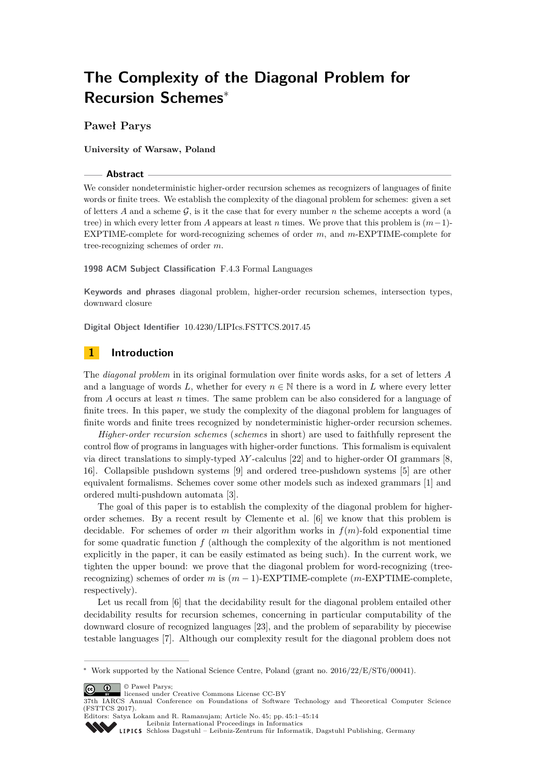# **The Complexity of the Diagonal Problem for Recursion Schemes**<sup>∗</sup>

# **Paweł Parys**

**University of Warsaw, Poland**

#### **Abstract**

We consider nondeterministic higher-order recursion schemes as recognizers of languages of finite words or finite trees. We establish the complexity of the diagonal problem for schemes: given a set of letters  $A$  and a scheme  $G$ , is it the case that for every number  $n$  the scheme accepts a word (a tree) in which every letter from *A* appears at least *n* times. We prove that this problem is (*m*−1)- EXPTIME-complete for word-recognizing schemes of order *m*, and *m*-EXPTIME-complete for tree-recognizing schemes of order *m*.

## **1998 ACM Subject Classification** F.4.3 Formal Languages

**Keywords and phrases** diagonal problem, higher-order recursion schemes, intersection types, downward closure

**Digital Object Identifier** [10.4230/LIPIcs.FSTTCS.2017.45](http://dx.doi.org/10.4230/LIPIcs.FSTTCS.2017.45)

# **1 Introduction**

The *diagonal problem* in its original formulation over finite words asks, for a set of letters *A* and a language of words *L*, whether for every  $n \in \mathbb{N}$  there is a word in *L* where every letter from *A* occurs at least *n* times. The same problem can be also considered for a language of finite trees. In this paper, we study the complexity of the diagonal problem for languages of finite words and finite trees recognized by nondeterministic higher-order recursion schemes.

*Higher-order recursion schemes* (*schemes* in short) are used to faithfully represent the control flow of programs in languages with higher-order functions. This formalism is equivalent via direct translations to simply-typed *λY* -calculus [\[22\]](#page-13-0) and to higher-order OI grammars [\[8,](#page-12-0) [16\]](#page-13-1). Collapsible pushdown systems [\[9\]](#page-12-1) and ordered tree-pushdown systems [\[5\]](#page-12-2) are other equivalent formalisms. Schemes cover some other models such as indexed grammars [\[1\]](#page-12-3) and ordered multi-pushdown automata [\[3\]](#page-12-4).

The goal of this paper is to establish the complexity of the diagonal problem for higherorder schemes. By a recent result by Clemente et al. [\[6\]](#page-12-5) we know that this problem is decidable. For schemes of order *m* their algorithm works in *f*(*m*)-fold exponential time for some quadratic function *f* (although the complexity of the algorithm is not mentioned explicitly in the paper, it can be easily estimated as being such). In the current work, we tighten the upper bound: we prove that the diagonal problem for word-recognizing (treerecognizing) schemes of order *m* is (*m* − 1)-EXPTIME-complete (*m*-EXPTIME-complete, respectively).

Let us recall from [\[6\]](#page-12-5) that the decidability result for the diagonal problem entailed other decidability results for recursion schemes, concerning in particular computability of the downward closure of recognized languages [\[23\]](#page-13-2), and the problem of separability by piecewise testable languages [\[7\]](#page-12-6). Although our complexity result for the diagonal problem does not

© Paweł Parys;  $\boxed{6}$  0

<sup>∗</sup> Work supported by the National Science Centre, Poland (grant no. 2016/22/E/ST6/00041).

licensed under Creative Commons License CC-BY

<sup>37</sup>th IARCS Annual Conference on Foundations of Software Technology and Theoretical Computer Science (FSTTCS 2017). Editors: Satya Lokam and R. Ramanujam; Article No. 45; pp. 45:1–45[:14](#page-13-3)

[Leibniz International Proceedings in Informatics](http://www.dagstuhl.de/lipics/)

[Schloss Dagstuhl – Leibniz-Zentrum für Informatik, Dagstuhl Publishing, Germany](http://www.dagstuhl.de)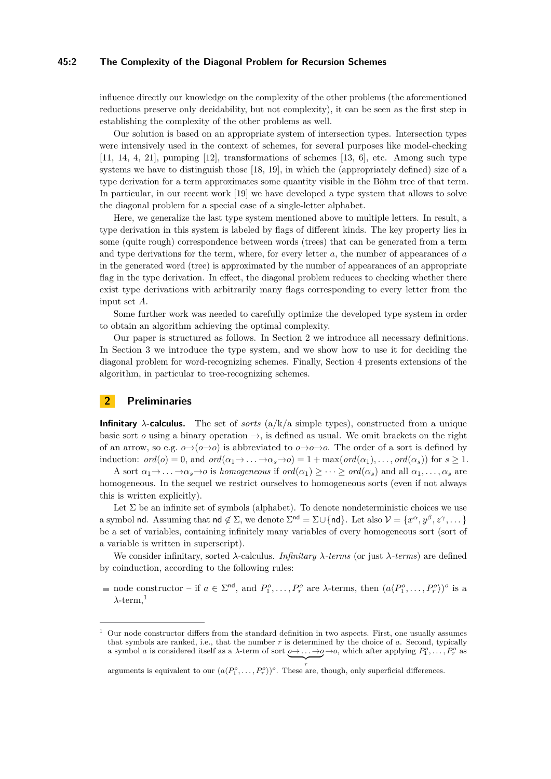## **45:2 The Complexity of the Diagonal Problem for Recursion Schemes**

influence directly our knowledge on the complexity of the other problems (the aforementioned reductions preserve only decidability, but not complexity), it can be seen as the first step in establishing the complexity of the other problems as well.

Our solution is based on an appropriate system of intersection types. Intersection types were intensively used in the context of schemes, for several purposes like model-checking  $[11, 14, 4, 21]$  $[11, 14, 4, 21]$  $[11, 14, 4, 21]$  $[11, 14, 4, 21]$  $[11, 14, 4, 21]$  $[11, 14, 4, 21]$  $[11, 14, 4, 21]$ , pumping  $[12]$ , transformations of schemes  $[13, 6]$  $[13, 6]$  $[13, 6]$ , etc. Among such type systems we have to distinguish those [\[18,](#page-13-8) [19\]](#page-13-9), in which the (appropriately defined) size of a type derivation for a term approximates some quantity visible in the Böhm tree of that term. In particular, in our recent work [\[19\]](#page-13-9) we have developed a type system that allows to solve the diagonal problem for a special case of a single-letter alphabet.

Here, we generalize the last type system mentioned above to multiple letters. In result, a type derivation in this system is labeled by flags of different kinds. The key property lies in some (quite rough) correspondence between words (trees) that can be generated from a term and type derivations for the term, where, for every letter *a*, the number of appearances of *a* in the generated word (tree) is approximated by the number of appearances of an appropriate flag in the type derivation. In effect, the diagonal problem reduces to checking whether there exist type derivations with arbitrarily many flags corresponding to every letter from the input set *A*.

Some further work was needed to carefully optimize the developed type system in order to obtain an algorithm achieving the optimal complexity.

Our paper is structured as follows. In Section [2](#page-1-0) we introduce all necessary definitions. In Section [3](#page-3-0) we introduce the type system, and we show how to use it for deciding the diagonal problem for word-recognizing schemes. Finally, Section [4](#page-10-0) presents extensions of the algorithm, in particular to tree-recognizing schemes.

# <span id="page-1-0"></span>**2 Preliminaries**

**Infinitary**  $\lambda$ **-calculus.** The set of *sorts* ( $a/k/a$  simple types), constructed from a unique basic sort *o* using a binary operation  $\rightarrow$ , is defined as usual. We omit brackets on the right of an arrow, so e.g.  $o \rightarrow (o \rightarrow o)$  is abbreviated to  $o \rightarrow o \rightarrow o$ . The order of a sort is defined by induction:  $ord(o) = 0$ , and  $ord(\alpha_1 \rightarrow \ldots \rightarrow \alpha_s \rightarrow o) = 1 + \max(ord(\alpha_1), \ldots, ord(\alpha_s))$  for  $s \geq 1$ .

A sort  $\alpha_1 \rightarrow \ldots \rightarrow \alpha_s \rightarrow o$  is *homogeneous* if  $ord(\alpha_1) \geq \cdots \geq ord(\alpha_s)$  and all  $\alpha_1, \ldots, \alpha_s$  are homogeneous. In the sequel we restrict ourselves to homogeneous sorts (even if not always this is written explicitly).

Let  $\Sigma$  be an infinite set of symbols (alphabet). To denote nondeterministic choices we use a symbol nd. Assuming that nd  $\notin \Sigma$ , we denote  $\Sigma^{\text{nd}} = \Sigma \cup \{\text{nd}\}\$ . Let also  $\mathcal{V} = \{x^{\alpha}, y^{\beta}, z^{\gamma}, \dots\}$ be a set of variables, containing infinitely many variables of every homogeneous sort (sort of a variable is written in superscript).

We consider infinitary, sorted *λ*-calculus. *Infinitary λ-terms* (or just *λ-terms*) are defined by coinduction, according to the following rules:

node constructor – if  $a \in \Sigma^{nd}$ , and  $P_1^o, \ldots, P_r^o$  are  $\lambda$ -terms, then  $(a \langle P_1^o, \ldots, P_r^o \rangle)^o$  is a  $\lambda$ -term.<sup>[1](#page-1-1)</sup>

<span id="page-1-1"></span><sup>1</sup> Our node constructor differs from the standard definition in two aspects. First, one usually assumes that symbols are ranked, i.e., that the number *r* is determined by the choice of *a*. Second, typically a symbol *a* is considered itself as a *λ*-term of sort  $\underline{\lozenge}$   $\rightarrow$   $\ldots$   $\underline{\rightarrow}$   $\varphi$ , which after applying  $P_1^o, \ldots, P_r^o$  as  $\overline{y}$ 

arguments is equivalent to our  $(a \langle P_1^o, \ldots, P_r^o \rangle)^o$ . These are, though, only superficial differences.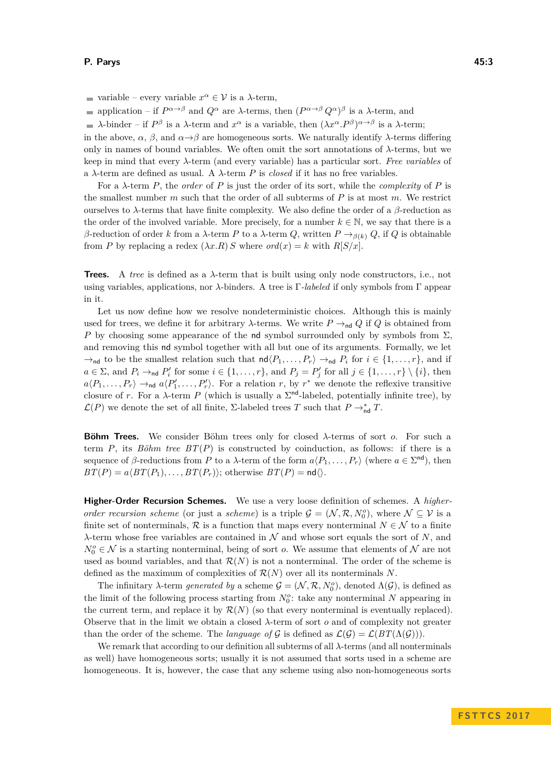variable – every variable  $x^{\alpha} \in \mathcal{V}$  is a  $\lambda$ -term,

application – if  $P^{\alpha \to \beta}$  and  $Q^{\alpha}$  are *λ*-terms, then  $(P^{\alpha \to \beta} Q^{\alpha})^{\beta}$  is a *λ*-term, and

*λ*-binder – if  $P^{\beta}$  is a *λ*-term and  $x^{\alpha}$  is a variable, then  $(\lambda x^{\alpha} \cdot P^{\beta})^{\alpha \rightarrow \beta}$  is a *λ*-term;

in the above,  $\alpha$ ,  $\beta$ , and  $\alpha \rightarrow \beta$  are homogeneous sorts. We naturally identify  $\lambda$ -terms differing only in names of bound variables. We often omit the sort annotations of *λ*-terms, but we keep in mind that every *λ*-term (and every variable) has a particular sort. *Free variables* of a  $\lambda$ -term are defined as usual. A  $\lambda$ -term P is *closed* if it has no free variables.

For a *λ*-term *P*, the *order* of *P* is just the order of its sort, while the *complexity* of *P* is the smallest number *m* such that the order of all subterms of *P* is at most *m*. We restrict ourselves to *λ*-terms that have finite complexity. We also define the order of a *β*-reduction as the order of the involved variable. More precisely, for a number  $k \in \mathbb{N}$ , we say that there is a *β*-reduction of order *k* from a *λ*-term *P* to a *λ*-term *Q*, written *P* →*<sup>β</sup>*(*k*) *Q*, if *Q* is obtainable from *P* by replacing a redex  $(\lambda x.R) S$  where  $ord(x) = k$  with  $R[S/x]$ .

**Trees.** A *tree* is defined as a *λ*-term that is built using only node constructors, i.e., not using variables, applications, nor *λ*-binders. A tree is Γ*-labeled* if only symbols from Γ appear in it.

Let us now define how we resolve nondeterministic choices. Although this is mainly used for trees, we define it for arbitrary  $\lambda$ -terms. We write  $P \rightarrow_{\text{nd}} Q$  if  $Q$  is obtained from *P* by choosing some appearance of the nd symbol surrounded only by symbols from  $\Sigma$ , and removing this nd symbol together with all but one of its arguments. Formally, we let  $\rightarrow$ <sub>nd</sub> to be the smallest relation such that  $\mathsf{nd}\langle P_1,\ldots,P_r\rangle \rightarrow_{\mathsf{nd}} P_i$  for  $i \in \{1,\ldots,r\}$ , and if  $a \in \Sigma$ , and  $P_i \rightarrow_{\text{nd}} P'_i$  for some  $i \in \{1, \ldots, r\}$ , and  $P_j = P'_j$  for all  $j \in \{1, \ldots, r\} \setminus \{i\}$ , then  $a\langle P_1,\ldots,P_r\rangle \rightarrow_{\text{nd}} a\langle P'_1,\ldots,P'_r\rangle$ . For a relation *r*, by *r*<sup>\*</sup> we denote the reflexive transitive closure of *r*. For a  $\lambda$ -term *P* (which is usually a  $\Sigma^{\text{nd}}$ -labeled, potentially infinite tree), by  $\mathcal{L}(P)$  we denote the set of all finite,  $\Sigma$ -labeled trees *T* such that  $P \to_{\sf nd}^* T$ .

**Böhm Trees.** We consider Böhm trees only for closed *λ*-terms of sort *o*. For such a term  $P$ , its *Böhm tree*  $BT(P)$  is constructed by coinduction, as follows: if there is a sequence of *β*-reductions from *P* to a *λ*-term of the form  $a(P_1, \ldots, P_r)$  (where  $a \in \Sigma^{nd}$ ), then  $BT(P) = a\langle BT(P_1), \ldots, BT(P_r) \rangle$ ; otherwise  $BT(P) = \mathsf{nd} \langle \rangle$ .

**Higher-Order Recursion Schemes.** We use a very loose definition of schemes. A *higherorder recursion scheme* (or just a *scheme*) is a triple  $G = (\mathcal{N}, \mathcal{R}, N_0^o)$ , where  $\mathcal{N} \subseteq \mathcal{V}$  is a finite set of nonterminals, R is a function that maps every nonterminal  $N \in \mathcal{N}$  to a finite *λ*-term whose free variables are contained in N and whose sort equals the sort of *N*, and  $N_0^o \in \mathcal{N}$  is a starting nonterminal, being of sort *o*. We assume that elements of  $\mathcal{N}$  are not used as bound variables, and that  $\mathcal{R}(N)$  is not a nonterminal. The order of the scheme is defined as the maximum of complexities of  $\mathcal{R}(N)$  over all its nonterminals N.

The infinitary *λ*-term *generated by* a scheme  $G = (\mathcal{N}, \mathcal{R}, N_0^o)$ , denoted  $\Lambda(\mathcal{G})$ , is defined as the limit of the following process starting from  $N_0^o$ : take any nonterminal  $N$  appearing in the current term, and replace it by  $\mathcal{R}(N)$  (so that every nonterminal is eventually replaced). Observe that in the limit we obtain a closed *λ*-term of sort *o* and of complexity not greater than the order of the scheme. The *language of* G is defined as  $\mathcal{L}(\mathcal{G}) = \mathcal{L}(BT(\Lambda(\mathcal{G})))$ .

We remark that according to our definition all subterms of all *λ*-terms (and all nonterminals as well) have homogeneous sorts; usually it is not assumed that sorts used in a scheme are homogeneous. It is, however, the case that any scheme using also non-homogeneous sorts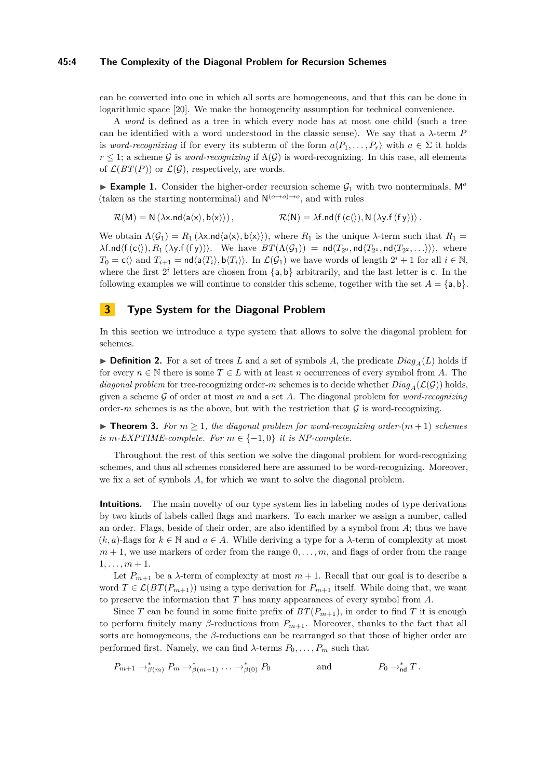## **45:4 The Complexity of the Diagonal Problem for Recursion Schemes**

can be converted into one in which all sorts are homogeneous, and that this can be done in logarithmic space [\[20\]](#page-13-10). We make the homogeneity assumption for technical convenience.

A *word* is defined as a tree in which every node has at most one child (such a tree can be identified with a word understood in the classic sense). We say that a *λ*-term *P* is *word-recognizing* if for every its subterm of the form  $a(P_1, \ldots, P_r)$  with  $a \in \Sigma$  it holds  $r \leq 1$ ; a scheme G is *word-recognizing* if  $\Lambda(G)$  is word-recognizing. In this case, all elements of  $\mathcal{L}(BT(P))$  or  $\mathcal{L}(\mathcal{G})$ , respectively, are words.

**Example 1.** Consider the higher-order recursion scheme  $\mathcal{G}_1$  with two nonterminals,  $\mathsf{M}^o$ (taken as the starting nonterminal) and  $N^{(o\rightarrow o)\rightarrow o}$ , and with rules

$$
\mathcal{R}(M) = N(\lambda x. nd \langle a \langle x \rangle, b \langle x \rangle)), \qquad \mathcal{R}(N) = \lambda f. nd \langle f(c \langle \rangle), N(\lambda y. f(fy)) \rangle.
$$

We obtain  $\Lambda(\mathcal{G}_1) = R_1(\lambda \times \text{Ind}\langle \mathsf{a}\langle \mathsf{x}\rangle, \mathsf{b}\langle \mathsf{x}\rangle),$  where  $R_1$  is the unique  $\lambda$ -term such that  $R_1 =$  $\lambda$ f.nd $\langle f(c \langle \rangle), R_1(\lambda y.f(fy)) \rangle$ . We have  $BT(\Lambda(\mathcal{G}_1)) = \mathsf{nd}\langle T_{2^0}, \mathsf{nd}\langle T_{2^1}, \mathsf{nd}\langle T_{2^2}, \ldots \rangle \rangle\rangle$ , where  $T_0 = c \langle \rangle$  and  $T_{i+1} = \text{nd} \langle \mathsf{a} \langle T_i \rangle, \mathsf{b} \langle T_i \rangle \rangle$ . In  $\mathcal{L}(\mathcal{G}_1)$  we have words of length  $2^i + 1$  for all  $i \in \mathbb{N}$ , where the first  $2^i$  letters are chosen from  $\{a, b\}$  arbitrarily, and the last letter is c. In the following examples we will continue to consider this scheme, together with the set  $A = \{a, b\}$ .

# <span id="page-3-0"></span>**3 Type System for the Diagonal Problem**

In this section we introduce a type system that allows to solve the diagonal problem for schemes.

 $\triangleright$  **Definition 2.** For a set of trees *L* and a set of symbols *A*, the predicate  $Diag_A(L)$  holds if for every  $n \in \mathbb{N}$  there is some  $T \in L$  with at least *n* occurrences of every symbol from *A*. The *diagonal problem* for tree-recognizing order-*m* schemes is to decide whether  $Diag_A(\mathcal{L}(\mathcal{G}))$  holds, given a scheme  $\mathcal G$  of order at most  $m$  and a set  $A$ . The diagonal problem for *word-recognizing* order- $m$  schemes is as the above, but with the restriction that  $G$  is word-recognizing.

<span id="page-3-2"></span>▶ **Theorem 3.** For  $m \geq 1$ , the diagonal problem for word-recognizing order- $(m + 1)$  schemes *is*  $m$ -*EXPTIME-complete.* For  $m \in \{-1, 0\}$  *it is NP-complete.* 

Throughout the rest of this section we solve the diagonal problem for word-recognizing schemes, and thus all schemes considered here are assumed to be word-recognizing. Moreover, we fix a set of symbols *A*, for which we want to solve the diagonal problem.

<span id="page-3-1"></span>**Intuitions.** The main novelty of our type system lies in labeling nodes of type derivations by two kinds of labels called flags and markers. To each marker we assign a number, called an order. Flags, beside of their order, are also identified by a symbol from *A*; thus we have  $(k, a)$ -flags for  $k \in \mathbb{N}$  and  $a \in A$ . While deriving a type for a  $\lambda$ -term of complexity at most  $m+1$ , we use markers of order from the range  $0, \ldots, m$ , and flags of order from the range  $1, \ldots, m + 1.$ 

Let  $P_{m+1}$  be a  $\lambda$ -term of complexity at most  $m+1$ . Recall that our goal is to describe a word  $T \in \mathcal{L}(BT(P_{m+1}))$  using a type derivation for  $P_{m+1}$  itself. While doing that, we want to preserve the information that *T* has many appearances of every symbol from *A*.

Since *T* can be found in some finite prefix of  $BT(P_{m+1})$ , in order to find *T* it is enough to perform finitely many  $\beta$ -reductions from  $P_{m+1}$ . Moreover, thanks to the fact that all sorts are homogeneous, the *β*-reductions can be rearranged so that those of higher order are performed first. Namely, we can find  $\lambda$ -terms  $P_0, \ldots, P_m$  such that

$$
P_{m+1} \to_{\beta(m)}^* P_m \to_{\beta(m-1)}^* \ldots \to_{\beta(0)}^* P_0
$$
 and  $P_0 \to_{\text{nd}}^* T$ .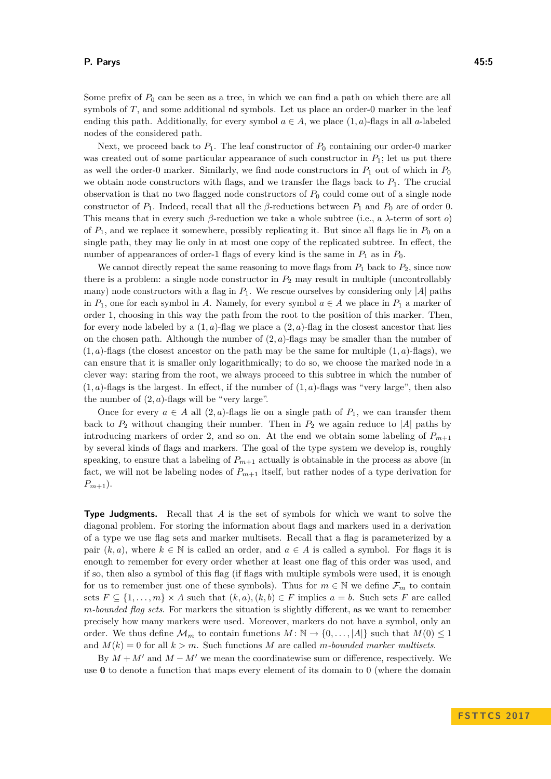Some prefix of  $P_0$  can be seen as a tree, in which we can find a path on which there are all symbols of *T*, and some additional nd symbols. Let us place an order-0 marker in the leaf ending this path. Additionally, for every symbol  $a \in A$ , we place  $(1, a)$ -flags in all *a*-labeled nodes of the considered path.

Next, we proceed back to  $P_1$ . The leaf constructor of  $P_0$  containing our order-0 marker was created out of some particular appearance of such constructor in  $P_1$ ; let us put there as well the order-0 marker. Similarly, we find node constructors in  $P_1$  out of which in  $P_0$ we obtain node constructors with flags, and we transfer the flags back to  $P_1$ . The crucial observation is that no two flagged node constructors of *P*<sup>0</sup> could come out of a single node constructor of *P*1. Indeed, recall that all the *β*-reductions between *P*<sup>1</sup> and *P*<sup>0</sup> are of order 0. This means that in every such *β*-reduction we take a whole subtree (i.e., a *λ*-term of sort *o*) of  $P_1$ , and we replace it somewhere, possibly replicating it. But since all flags lie in  $P_0$  on a single path, they may lie only in at most one copy of the replicated subtree. In effect, the number of appearances of order-1 flags of every kind is the same in  $P_1$  as in  $P_0$ .

We cannot directly repeat the same reasoning to move flags from  $P_1$  back to  $P_2$ , since now there is a problem: a single node constructor in  $P_2$  may result in multiple (uncontrollably many) node constructors with a flag in  $P_1$ . We rescue ourselves by considering only |A| paths in  $P_1$ , one for each symbol in *A*. Namely, for every symbol  $a \in A$  we place in  $P_1$  a marker of order 1, choosing in this way the path from the root to the position of this marker. Then, for every node labeled by a  $(1, a)$ -flag we place a  $(2, a)$ -flag in the closest ancestor that lies on the chosen path. Although the number of  $(2, a)$ -flags may be smaller than the number of  $(1, a)$ -flags (the closest ancestor on the path may be the same for multiple  $(1, a)$ -flags), we can ensure that it is smaller only logarithmically; to do so, we choose the marked node in a clever way: staring from the root, we always proceed to this subtree in which the number of  $(1, a)$ -flags is the largest. In effect, if the number of  $(1, a)$ -flags was "very large", then also the number of  $(2, a)$ -flags will be "very large".

Once for every  $a \in A$  all  $(2, a)$ -flags lie on a single path of  $P_1$ , we can transfer them back to  $P_2$  without changing their number. Then in  $P_2$  we again reduce to |A| paths by introducing markers of order 2, and so on. At the end we obtain some labeling of  $P_{m+1}$ by several kinds of flags and markers. The goal of the type system we develop is, roughly speaking, to ensure that a labeling of  $P_{m+1}$  actually is obtainable in the process as above (in fact, we will not be labeling nodes of *Pm*+1 itself, but rather nodes of a type derivation for  $P_{m+1}$ ).

**Type Judgments.** Recall that *A* is the set of symbols for which we want to solve the diagonal problem. For storing the information about flags and markers used in a derivation of a type we use flag sets and marker multisets. Recall that a flag is parameterized by a pair  $(k, a)$ , where  $k \in \mathbb{N}$  is called an order, and  $a \in A$  is called a symbol. For flags it is enough to remember for every order whether at least one flag of this order was used, and if so, then also a symbol of this flag (if flags with multiple symbols were used, it is enough for us to remember just one of these symbols). Thus for  $m \in \mathbb{N}$  we define  $\mathcal{F}_m$  to contain sets  $F \subseteq \{1, \ldots, m\} \times A$  such that  $(k, a), (k, b) \in F$  implies  $a = b$ . Such sets F are called *m-bounded flag sets*. For markers the situation is slightly different, as we want to remember precisely how many markers were used. Moreover, markers do not have a symbol, only an order. We thus define  $\mathcal{M}_m$  to contain functions  $M : \mathbb{N} \to \{0, \ldots, |A|\}$  such that  $M(0) \leq 1$ and  $M(k) = 0$  for all  $k > m$ . Such functions M are called m-bounded marker multisets.

By  $M + M'$  and  $M - M'$  we mean the coordinatewise sum or difference, respectively. We use **0** to denote a function that maps every element of its domain to 0 (where the domain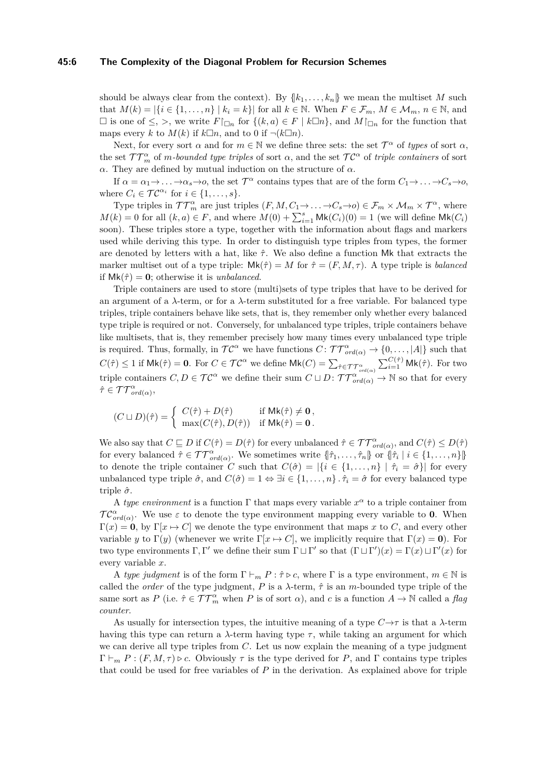#### **45:6 The Complexity of the Diagonal Problem for Recursion Schemes**

should be always clear from the context). By  $\{k_1, \ldots, k_n\}$  we mean the multiset *M* such that  $M(k) = |\{i \in \{1, \ldots, n\} \mid k_i = k\}|$  for all  $k \in \mathbb{N}$ . When  $F \in \mathcal{F}_m$ ,  $M \in \mathcal{M}_m$ ,  $n \in \mathbb{N}$ , and  $□$  is one of ≤, >, we write  $F|_{□n}$  for {( $k, a$ ) ∈  $F | k□n$ }, and  $M|_{□n}$  for the function that maps every *k* to  $M(k)$  if  $k\Box n$ , and to 0 if  $\neg (k\Box n)$ .

Next, for every sort  $\alpha$  and for  $m \in \mathbb{N}$  we define three sets: the set  $\mathcal{T}^{\alpha}$  of *types* of sort  $\alpha$ , the set  $TT_m^{\alpha}$  of *m-bounded type triples* of sort  $\alpha$ , and the set  $TC^{\alpha}$  of *triple containers* of sort *α*. They are defined by mutual induction on the structure of *α*.

If  $\alpha = \alpha_1 \rightarrow \ldots \rightarrow \alpha_s \rightarrow o$ , the set  $\mathcal{T}^{\alpha}$  contains types that are of the form  $C_1 \rightarrow \ldots \rightarrow C_s \rightarrow o$ , where  $C_i \in \mathcal{TC}^{\alpha_i}$  for  $i \in \{1, \ldots, s\}$ .

Type triples in  $TT_m^{\alpha}$  are just triples  $(F, M, C_1 \to \ldots \to C_s \to o) \in \mathcal{F}_m \times \mathcal{M}_m \times \mathcal{T}^{\alpha}$ , where  $M(k) = 0$  for all  $(k, a) \in F$ , and where  $M(0) + \sum_{i=1}^{s} \mathsf{Mk}(C_i)(0) = 1$  (we will define  $\mathsf{Mk}(C_i)$ ) soon). These triples store a type, together with the information about flags and markers used while deriving this type. In order to distinguish type triples from types, the former are denoted by letters with a hat, like *τ*ˆ. We also define a function Mk that extracts the marker multiset out of a type triple:  $\mathsf{Mk}(\hat{\tau}) = M$  for  $\hat{\tau} = (F, M, \tau)$ . A type triple is *balanced* if  $Mk(\hat{\tau}) = 0$ ; otherwise it is *unbalanced*.

Triple containers are used to store (multi)sets of type triples that have to be derived for an argument of a  $\lambda$ -term, or for a  $\lambda$ -term substituted for a free variable. For balanced type triples, triple containers behave like sets, that is, they remember only whether every balanced type triple is required or not. Conversely, for unbalanced type triples, triple containers behave like multisets, that is, they remember precisely how many times every unbalanced type triple is required. Thus, formally, in  $TC^{\alpha}$  we have functions  $C: TT^{\alpha}_{ord(\alpha)} \to \{0, \ldots, |A|\}$  such that  $C(\hat{\tau}) \leq 1$  if  $\mathsf{Mk}(\hat{\tau}) = \mathbf{0}$ . For  $C \in \mathcal{TC}^{\alpha}$  we define  $\mathsf{Mk}(C) = \sum_{\hat{\tau} \in \mathcal{TT}^{\alpha}_{ord(\alpha)}} \sum_{i=1}^{C(\hat{\tau})} \mathsf{Mk}(\hat{\tau})$ . For two triple containers  $C, D \in \mathcal{TC}^{\alpha}$  we define their sum  $C \sqcup D$ :  $\mathcal{TT}^{\alpha}_{\text{ord}(\alpha)} \to \mathbb{N}$  so that for every  $\hat{\tau} \in \mathcal{TT}^{\alpha}_{ord(\alpha)},$ 

$$
(C\sqcup D)(\hat{\tau})=\left\{\begin{array}{ll}C(\hat{\tau})+D(\hat{\tau})&\text{if }\mathsf{Mk}(\hat{\tau})\neq \mathbf{0}\,,\\ \max(C(\hat{\tau}),D(\hat{\tau}))&\text{if }\mathsf{Mk}(\hat{\tau})=\mathbf{0}\,. \end{array}\right.
$$

We also say that  $C \subseteq D$  if  $C(\hat{\tau}) = D(\hat{\tau})$  for every unbalanced  $\hat{\tau} \in \mathcal{TT}_{\text{ord}(\alpha)}^{\alpha}$ , and  $C(\hat{\tau}) \leq D(\hat{\tau})$ for every balanced  $\hat{\tau} \in \mathcal{TT}^{\alpha}_{\text{ord}(\alpha)}$ . We sometimes write  $\{\hat{\tau}_1, \ldots, \hat{\tau}_n\}$  or  $\{\hat{\tau}_i \mid i \in \{1, \ldots, n\}\}$ to denote the triple container *C* such that  $C(\hat{\sigma}) = |\{i \in \{1, ..., n\} | \hat{\tau}_i = \hat{\sigma}\}|$  for every unbalanced type triple  $\hat{\sigma}$ , and  $C(\hat{\sigma}) = 1 \Leftrightarrow \exists i \in \{1, ..., n\}$ .  $\hat{\tau}_i = \hat{\sigma}$  for every balanced type triple *σ*ˆ.

A *type environment* is a function  $\Gamma$  that maps every variable  $x^{\alpha}$  to a triple container from  $TC^{\alpha}_{ord(\alpha)}$ . We use  $\varepsilon$  to denote the type environment mapping every variable to **0**. When  $\Gamma(x) = 0$ , by  $\Gamma(x \to C]$  we denote the type environment that maps x to C, and every other variable *y* to Γ(*y*) (whenever we write Γ[*x*  $\mapsto C$ ], we implicitly require that Γ(*x*) = **0**). For two type environments  $\Gamma, \Gamma'$  we define their sum  $\Gamma \sqcup \Gamma'$  so that  $(\Gamma \sqcup \Gamma')(x) = \Gamma(x) \sqcup \Gamma'(x)$  for every variable *x*.

A *type judgment* is of the form  $\Gamma \vdash_m P : \hat{\tau} \triangleright c$ , where  $\Gamma$  is a type environment,  $m \in \mathbb{N}$  is called the *order* of the type judgment,  $P$  is a  $\lambda$ -term,  $\hat{\tau}$  is an *m*-bounded type triple of the same sort as  $P$  (i.e.  $\hat{\tau} \in \mathcal{TT}_{m}^{\alpha}$  when  $P$  is of sort  $\alpha$ ), and  $c$  is a function  $A \to \mathbb{N}$  called a flag *counter*.

As usually for intersection types, the intuitive meaning of a type  $C \rightarrow \tau$  is that a  $\lambda$ -term having this type can return a  $\lambda$ -term having type  $\tau$ , while taking an argument for which we can derive all type triples from *C*. Let us now explain the meaning of a type judgment  $\Gamma \vdash_m P : (F, M, \tau) \triangleright c$ . Obviously  $\tau$  is the type derived for P, and  $\Gamma$  contains type triples that could be used for free variables of *P* in the derivation. As explained above for triple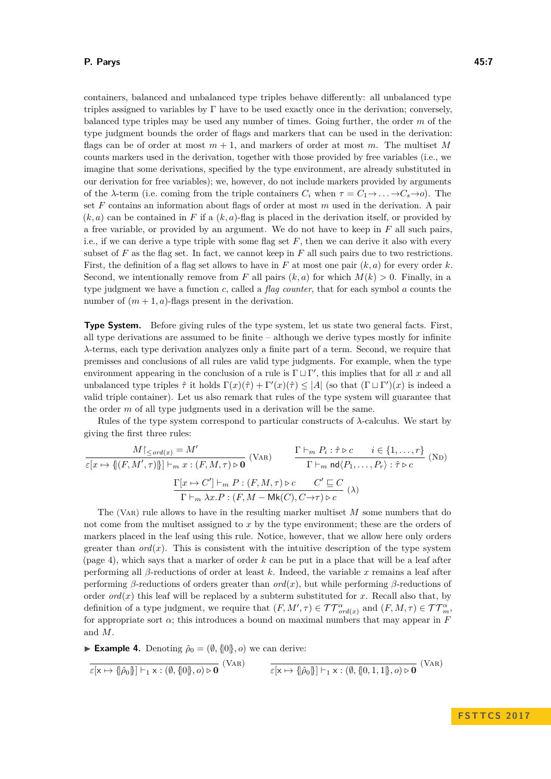## **P. Parys 45:7**

containers, balanced and unbalanced type triples behave differently: all unbalanced type triples assigned to variables by Γ have to be used exactly once in the derivation; conversely, balanced type triples may be used any number of times. Going further, the order *m* of the type judgment bounds the order of flags and markers that can be used in the derivation: flags can be of order at most  $m + 1$ , and markers of order at most  $m$ . The multiset M counts markers used in the derivation, together with those provided by free variables (i.e., we imagine that some derivations, specified by the type environment, are already substituted in our derivation for free variables); we, however, do not include markers provided by arguments of the *λ*-term (i.e. coming from the triple containers  $C_i$  when  $\tau = C_1 \rightarrow \ldots \rightarrow C_s \rightarrow o$ ). The set *F* contains an information about flags of order at most *m* used in the derivation. A pair  $(k, a)$  can be contained in F if a  $(k, a)$ -flag is placed in the derivation itself, or provided by a free variable, or provided by an argument. We do not have to keep in *F* all such pairs, i.e., if we can derive a type triple with some flag set *F*, then we can derive it also with every subset of  $F$  as the flag set. In fact, we cannot keep in  $F$  all such pairs due to two restrictions. First, the definition of a flag set allows to have in *F* at most one pair (*k, a*) for every order *k*. Second, we intentionally remove from *F* all pairs  $(k, a)$  for which  $M(k) > 0$ . Finally, in a type judgment we have a function *c*, called a *flag counter*, that for each symbol *a* counts the number of  $(m + 1, a)$ -flags present in the derivation.

**Type System.** Before giving rules of the type system, let us state two general facts. First, all type derivations are assumed to be finite – although we derive types mostly for infinite *λ*-terms, each type derivation analyzes only a finite part of a term. Second, we require that premisses and conclusions of all rules are valid type judgments. For example, when the type environment appearing in the conclusion of a rule is  $\Gamma \sqcup \Gamma'$ , this implies that for all *x* and all unbalanced type triples  $\hat{\tau}$  it holds  $\Gamma(x)(\hat{\tau}) + \Gamma'(x)(\hat{\tau}) \leq |A|$  (so that  $(\Gamma \sqcup \Gamma')(x)$  is indeed a valid triple container). Let us also remark that rules of the type system will guarantee that the order *m* of all type judgments used in a derivation will be the same.

Rules of the type system correspond to particular constructs of *λ*-calculus. We start by giving the first three rules:

$$
\frac{M\vert_{\leq\operatorname{ord}(x)}=M'}{\varepsilon[x\mapsto\{(F,M',\tau)\}\vert\vert_{\substack{m\in\mathbb{Z}:\, (F,M,\tau)\triangleright\mathbf{0}}} \text{ (VaR)}} \qquad \frac{\Gamma\vdash_m P_i : \hat{\tau}\triangleright c \qquad i\in\{1,\ldots,r\}}{\Gamma\vdash_m \operatorname{nd}\langle P_1,\ldots,P_r\rangle : \hat{\tau}\triangleright c} \text{ (ND)}
$$
\n
$$
\frac{\Gamma[x\mapsto C']\vdash_m P : (F,M,\tau)\triangleright c \qquad C'\sqsubseteq C}{\Gamma\vdash_m \lambda x.P : (F,M-\operatorname{Mk}(C),C\to\tau)\triangleright c} \text{ (A)}
$$

The (VAR) rule allows to have in the resulting marker multiset M some numbers that do not come from the multiset assigned to *x* by the type environment; these are the orders of markers placed in the leaf using this rule. Notice, however, that we allow here only orders greater than  $ord(x)$ . This is consistent with the intuitive description of the type system (page [4\)](#page-3-1), which says that a marker of order *k* can be put in a place that will be a leaf after performing all *β*-reductions of order at least *k*. Indeed, the variable *x* remains a leaf after performing *β*-reductions of orders greater than  $ord(x)$ , but while performing *β*-reductions of order *ord*(*x*) this leaf will be replaced by a subterm substituted for *x*. Recall also that, by definition of a type judgment, we require that  $(F, M', \tau) \in \mathcal{TT}^{\alpha}_{ord(x)}$  and  $(F, M, \tau) \in \mathcal{TT}^{\alpha}_{m}$ , for appropriate sort  $\alpha$ ; this introduces a bound on maximal numbers that may appear in  $F$ and *M*.

<span id="page-6-0"></span>**Example 4.** Denoting  $\hat{\rho}_0 = (\emptyset, \{0\}, o)$  we can derive:

$$
\overline{\varepsilon[x\mapsto \{\!\!\{\hat{\rho}_0\}\!\!\} \!\!\} \vdash_1 \!\! x: (\emptyset, \{\!\!\{0\}\!\!\}, o) \triangleright \mathbf{0} \ ( \text{Var}) \qquad \quad \overline{\varepsilon[x\mapsto \{\!\!\{\hat{\rho}_0\}\!\!\} \!\!\} \vdash_1 \! x: (\emptyset, \{\!\!\{0, 1, 1\}\!\!\}, o) \triangleright \mathbf{0} \ ( \text{Var})
$$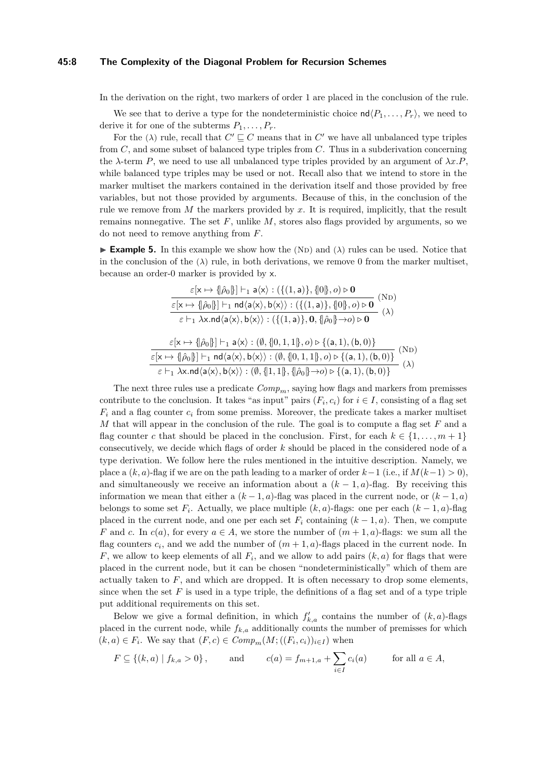#### **45:8 The Complexity of the Diagonal Problem for Recursion Schemes**

In the derivation on the right, two markers of order 1 are placed in the conclusion of the rule.

We see that to derive a type for the nondeterministic choice  $\mathsf{nd}\langle P_1,\ldots,P_r\rangle$ , we need to derive it for one of the subterms  $P_1, \ldots, P_r$ .

For the ( $\lambda$ ) rule, recall that  $C' \sqsubseteq C$  means that in  $C'$  we have all unbalanced type triples from *C*, and some subset of balanced type triples from *C*. Thus in a subderivation concerning the  $\lambda$ -term *P*, we need to use all unbalanced type triples provided by an argument of  $\lambda x.P$ , while balanced type triples may be used or not. Recall also that we intend to store in the marker multiset the markers contained in the derivation itself and those provided by free variables, but not those provided by arguments. Because of this, in the conclusion of the rule we remove from *M* the markers provided by *x*. It is required, implicitly, that the result remains nonnegative. The set *F*, unlike *M*, stores also flags provided by arguments, so we do not need to remove anything from *F*.

<span id="page-7-0"></span>**Example 5.** In this example we show how the (ND) and  $(\lambda)$  rules can be used. Notice that in the conclusion of the  $(\lambda)$  rule, in both derivations, we remove 0 from the marker multiset, because an order-0 marker is provided by x.

$$
\frac{\varepsilon[\mathsf{x}\mapsto \{\hat{\rho}_0\}]\vdash_1 \mathsf{a}\langle\mathsf{x}\rangle : (\{(1,\mathsf{a})\}, \{0\}, o)\triangleright \mathbf{0}}{\varepsilon[\mathsf{x}\mapsto \{\hat{\rho}_0\}]\vdash_1 \mathsf{nd}\langle\mathsf{a}\langle\mathsf{x}\rangle, \mathsf{b}\langle\mathsf{x}\rangle\rangle : (\{(1,\mathsf{a})\}, \{0\}, o)\triangleright \mathbf{0}} \frac{\mathsf{(N}\mathsf{D})}{\varepsilon\vdash_1 \lambda\mathsf{x}. \mathsf{nd}\langle\mathsf{a}\langle\mathsf{x}\rangle, \mathsf{b}\langle\mathsf{x}\rangle\rangle : (\{(1,\mathsf{a})\}, \mathsf{0}, \{\hat{\rho}_0\}\rightarrow o)\triangleright \mathsf{0}} \quad (\lambda)}{\varepsilon[\mathsf{x}\mapsto \{\hat{\rho}_0\}]\vdash_1 \mathsf{a}\langle\mathsf{x}\rangle : (\emptyset, \{0,1,1\}, o)\triangleright \{(a,1),(b,0)\}\n\\ \frac{\varepsilon[\mathsf{x}\mapsto \{\hat{\rho}_0\}]\vdash_1 \mathsf{nd}\langle\mathsf{a}\langle\mathsf{x}\rangle, \mathsf{b}\langle\mathsf{x}\rangle\rangle : (\emptyset, \{0,1,1\}, o)\triangleright \{(a,1),(b,0)\}\n\\ \frac{\varepsilon[\mathsf{x}\mapsto \{\hat{\rho}_0\}]\vdash_1 \mathsf{nd}\langle\mathsf{a}\langle\mathsf{x}\rangle, \mathsf{b}\langle\mathsf{x}\rangle\rangle : (\emptyset, \{0,1,1\}, o)\triangleright \{(a,1),(b,0)\}\n\\ \frac{\varepsilon[\mathsf{x}\mapsto \lambda\mathsf{x}. \mathsf{nd}\langle\mathsf{a}\langle\mathsf{x}\rangle, \mathsf{b}\langle\mathsf{x}\rangle\rangle : (\emptyset, \{1,1\}, \{\hat{\rho}_0\}\rightarrow o)\triangleright \{(a,1),(b,0)\}\n\\ \frac{\mathsf{x}\mathsf{a}}{\mathsf{x}}\mathsf{a}\langle\mathsf{a}\rangle, \mathsf{b}\langle\mathsf{a}\rangle, \mathsf{b}\langle\mathsf{x}\rangle\rangle : (\emptyset, \{0,1,1\}, \{\hat{\rho}_0\}\rightarrow o)\triangleright \{(a,1,0,0,0)\}\n\\ \frac{\mathsf{x}\mathsf{a}}{\mathsf{x}}\mathsf{a}\langle\mathsf{a}\rangle
$$

The next three rules use a predicate  $Comp_m$ , saying how flags and markers from premisses contribute to the conclusion. It takes "as input" pairs  $(F_i, c_i)$  for  $i \in I$ , consisting of a flag set  $F_i$  and a flag counter  $c_i$  from some premiss. Moreover, the predicate takes a marker multiset *M* that will appear in the conclusion of the rule. The goal is to compute a flag set *F* and a flag counter *c* that should be placed in the conclusion. First, for each  $k \in \{1, \ldots, m+1\}$ consecutively, we decide which flags of order *k* should be placed in the considered node of a type derivation. We follow here the rules mentioned in the intuitive description. Namely, we place a  $(k, a)$ -flag if we are on the path leading to a marker of order  $k-1$  (i.e., if  $M(k-1) > 0$ ), and simultaneously we receive an information about a  $(k-1, a)$ -flag. By receiving this information we mean that either a  $(k-1, a)$ -flag was placed in the current node, or  $(k-1, a)$ belongs to some set  $F_i$ . Actually, we place multiple  $(k, a)$ -flags: one per each  $(k - 1, a)$ -flag placed in the current node, and one per each set  $F_i$  containing  $(k-1, a)$ . Then, we compute *F* and *c*. In  $c(a)$ , for every  $a \in A$ , we store the number of  $(m + 1, a)$ -flags: we sum all the flag counters  $c_i$ , and we add the number of  $(m + 1, a)$ -flags placed in the current node. In *F*, we allow to keep elements of all *F<sup>i</sup>* , and we allow to add pairs (*k, a*) for flags that were placed in the current node, but it can be chosen "nondeterministically" which of them are actually taken to  $F$ , and which are dropped. It is often necessary to drop some elements, since when the set  $F$  is used in a type triple, the definitions of a flag set and of a type triple put additional requirements on this set.

Below we give a formal definition, in which  $f'_{k,a}$  contains the number of  $(k, a)$ -flags placed in the current node, while  $f_{k,a}$  additionally counts the number of premisses for which  $(k, a) \in F_i$ . We say that  $(F, c) \in Comp_m(M; ((F_i, c_i))_{i \in I})$  when

$$
F \subseteq \{(k, a) | f_{k,a} > 0\},
$$
 and  $c(a) = f_{m+1,a} + \sum_{i \in I} c_i(a)$  for all  $a \in A$ ,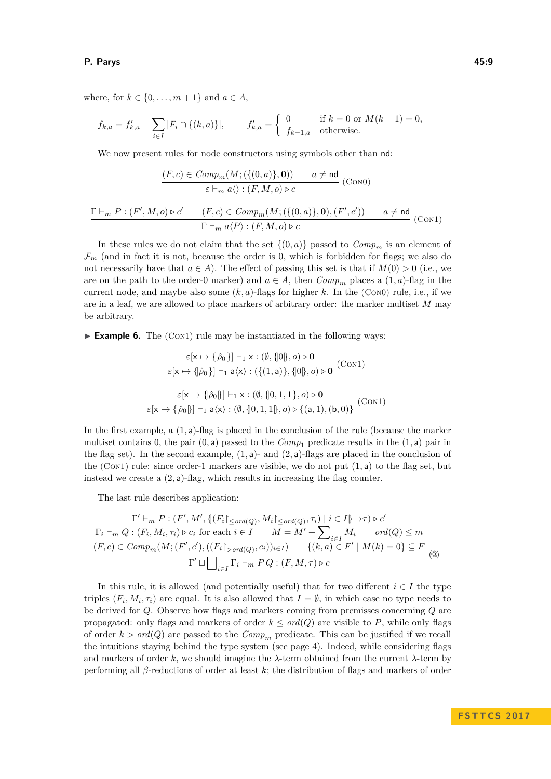## **P. Parys 45:9**

where, for  $k \in \{0, \ldots, m+1\}$  and  $a \in A$ ,

$$
f_{k,a} = f'_{k,a} + \sum_{i \in I} |F_i \cap \{(k,a)\}|, \qquad f'_{k,a} = \begin{cases} 0 & \text{if } k = 0 \text{ or } M(k-1) = 0, \\ f_{k-1,a} & \text{otherwise.} \end{cases}
$$

We now present rules for node constructors using symbols other than nd:

$$
\frac{(F,c) \in Comp_m(M; (\{(0,a)\}, \mathbf{0})) \qquad a \neq \mathsf{nd}}{\varepsilon \vdash_m a \langle \rangle : (F, M, o) \triangleright c} \quad \text{(Con0)}
$$

$$
\frac{\Gamma \vdash_m P : (F', M, o) \triangleright c' \qquad (F, c) \in Comp_m(M; (\{(0, a)\}, \mathbf{0}), (F', c')) \qquad a \neq \mathsf{nd}}{\Gamma \vdash_m a \langle P \rangle : (F, M, o) \triangleright c} \qquad (Con1)
$$

In these rules we do not claim that the set  $\{(0, a)\}$  passed to  $Comp_m$  is an element of  $\mathcal{F}_m$  (and in fact it is not, because the order is 0, which is forbidden for flags; we also do not necessarily have that  $a \in A$ ). The effect of passing this set is that if  $M(0) > 0$  (i.e., we are on the path to the order-0 marker) and  $a \in A$ , then  $Comp_m$  places a  $(1, a)$ -flag in the current node, and maybe also some  $(k, a)$ -flags for higher  $k$ . In the (Con0) rule, i.e., if we are in a leaf, we are allowed to place markers of arbitrary order: the marker multiset *M* may be arbitrary.

<span id="page-8-0"></span>► **Example 6.** The (Con1) rule may be instantiated in the following ways:

$$
\frac{\varepsilon[\mathsf{x} \mapsto \{\hat{\rho}_0\}] \vdash_1 \mathsf{x} : (\emptyset, \{0\}, o) \triangleright \mathbf{0}}{\varepsilon[\mathsf{x} \mapsto \{\hat{\rho}_0\}] \vdash_1 \mathsf{a}\langle\mathsf{x}\rangle : (\{(1, \mathsf{a})\}, \{0\}, o) \triangleright \mathbf{0}} \quad (\text{Con1})
$$
\n
$$
\frac{\varepsilon[\mathsf{x} \mapsto \{\hat{\rho}_0\}]\vdash_1 \mathsf{x} : (\emptyset, \{0, 1, 1\}, o) \triangleright \mathbf{0}}{\varepsilon[\mathsf{x} \mapsto \{\hat{\rho}_0\}]\vdash_1 \mathsf{a}\langle\mathsf{x}\rangle : (\emptyset, \{0, 1, 1\}, o) \triangleright \{(a, 1), (b, 0)\}} \quad (\text{Con1})
$$

In the first example, a (1*,* a)-flag is placed in the conclusion of the rule (because the marker multiset contains 0, the pair  $(0, a)$  passed to the  $Comp_1$  predicate results in the  $(1, a)$  pair in the flag set). In the second example, (1*,* a)- and (2*,* a)-flags are placed in the conclusion of the (Con1) rule: since order-1 markers are visible, we do not put (1*,* a) to the flag set, but instead we create a (2*,* a)-flag, which results in increasing the flag counter.

The last rule describes application:

$$
\Gamma' \vdash_m P : (F', M', \{ |F_i|_{\leq \text{ord}(Q)}, M_i|_{\leq \text{ord}(Q)}, \tau_i) \mid i \in I \} \to \tau) \triangleright c'
$$
  
\n
$$
\Gamma_i \vdash_m Q : (F_i, M_i, \tau_i) \triangleright c_i \text{ for each } i \in I \qquad M = M' + \sum_{i \in I} M_i \qquad \text{ord}(Q) \leq m
$$
  
\n
$$
\underbrace{(F, c) \in Comp_m(M; (F', c'), ((F_i|_{> \text{ord}(Q)}, c_i))_{i \in I}) \qquad \{(k, a) \in F' \mid M(k) = 0\} \subseteq F}_{\Gamma' \sqcup \bigsqcup_{i \in I} \Gamma_i \vdash_m PQ : (F, M, \tau) \triangleright c}
$$
 (④)

In this rule, it is allowed (and potentially useful) that for two different  $i \in I$  the type triples  $(F_i, M_i, \tau_i)$  are equal. It is also allowed that  $I = \emptyset$ , in which case no type needs to be derived for *Q*. Observe how flags and markers coming from premisses concerning *Q* are propagated: only flags and markers of order  $k \leq \text{ord}(Q)$  are visible to P, while only flags of order  $k > ord(Q)$  are passed to the  $Comp_m$  predicate. This can be justified if we recall the intuitions staying behind the type system (see page [4\)](#page-3-1). Indeed, while considering flags and markers of order *k*, we should imagine the *λ*-term obtained from the current *λ*-term by performing all *β*-reductions of order at least *k*; the distribution of flags and markers of order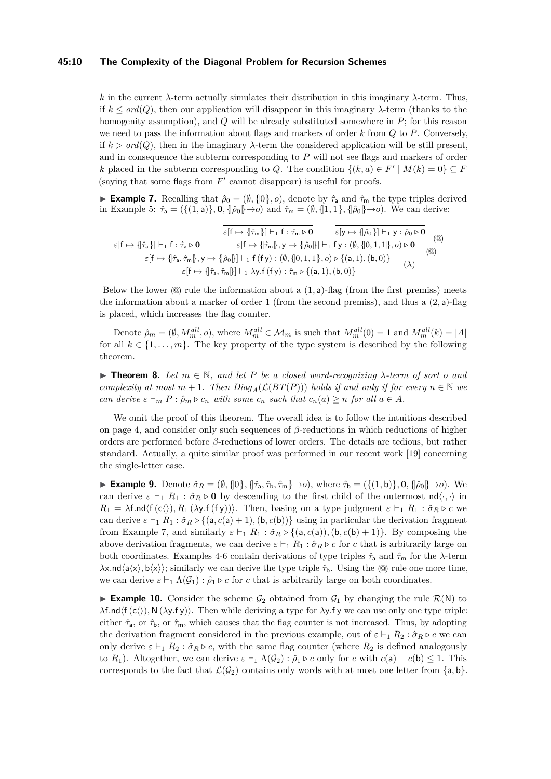## **45:10 The Complexity of the Diagonal Problem for Recursion Schemes**

*k* in the current *λ*-term actually simulates their distribution in this imaginary *λ*-term. Thus, if  $k \leq \text{ord}(Q)$ , then our application will disappear in this imaginary  $\lambda$ -term (thanks to the homogenity assumption), and *Q* will be already substituted somewhere in *P*; for this reason we need to pass the information about flags and markers of order *k* from *Q* to *P*. Conversely, if  $k > ord(Q)$ , then in the imaginary  $\lambda$ -term the considered application will be still present, and in consequence the subterm corresponding to *P* will not see flags and markers of order *k* placed in the subterm corresponding to *Q*. The condition  $\{(k, a) \in F' \mid M(k) = 0\} \subseteq F$ (saying that some flags from  $F'$  cannot disappear) is useful for proofs.

<span id="page-9-0"></span>**Example 7.** Recalling that  $\hat{\rho}_0 = (\emptyset, \{0\}, o)$ , denote by  $\hat{\tau}_a$  and  $\hat{\tau}_m$  the type triples derived in Example [5:](#page-7-0)  $\hat{\tau}_a = (\{(1, a)\}, 0, \{\hat{\rho}_0\} \rightarrow o)$  and  $\hat{\tau}_m = (\emptyset, \{1, 1\}, \{\hat{\rho}_0\} \rightarrow o)$ . We can derive:

|                                                                                                                                                                                                                                          | $\varepsilon$ $f \mapsto \{\hat{\tau}_{m}\}\$ $\vdash_1 f : \hat{\tau}_{m} \triangleright \mathbf{0}$                                                             | $\varepsilon[y \mapsto {\hat{\beta}}_0{\hat{\beta}}] \vdash_1 y : \hat{\rho}_0 \triangleright \mathbf{0}$ | $\circledcirc$ |
|------------------------------------------------------------------------------------------------------------------------------------------------------------------------------------------------------------------------------------------|-------------------------------------------------------------------------------------------------------------------------------------------------------------------|-----------------------------------------------------------------------------------------------------------|----------------|
| $\varepsilon$ $\mathsf{f} \mapsto \{\hat{\tau}_a\}\mathsf{h}_1$ $\mathsf{f} : \hat{\tau}_a \triangleright \mathbf{0}$                                                                                                                    | $\varepsilon[f \mapsto \{\! \{\hat{\tau}_m\}, y \mapsto \{\! \{\hat{\rho}_0\} \! \}] \vdash_1 f y: (\emptyset, \{\! \{0,1,1\} \!\}, o) \triangleright \mathbf{0}$ |                                                                                                           | $^{\rm{(Q)}}$  |
| $\varepsilon[f \mapsto \{\hat{\tau}_\mathsf{a},\hat{\tau}_\mathsf{m} \}, \mathsf{y} \mapsto \{\hat{\rho}_0\}]\vdash_1 \mathsf{f}\,(\mathsf{f}\,\mathsf{y}): (\emptyset,\{\!\!\{0,1,1\}\!\!\},o) \triangleright \{\mathsf{(a,1),(b,0)}\}$ |                                                                                                                                                                   |                                                                                                           | $(\lambda)$    |
| $\varepsilon$ [f $\mapsto$ { $\hat{\tau}_a, \hat{\tau}_m$ }] $\vdash_1 \lambda$ y.f (f y) : $\hat{\tau}_m \triangleright$ {(a, 1), (b, 0)}                                                                                               |                                                                                                                                                                   |                                                                                                           |                |

Below the lower  $\textcircled{a}$  rule the information about a  $(1, a)$ -flag (from the first premiss) meets the information about a marker of order 1 (from the second premiss), and thus a (2*,* a)-flag is placed, which increases the flag counter.

Denote  $\hat{\rho}_m = (\emptyset, M_m^{all}, o)$ , where  $M_m^{all} \in \mathcal{M}_m$  is such that  $M_m^{all}(0) = 1$  and  $M_m^{all}(k) = |A|$ for all  $k \in \{1, \ldots, m\}$ . The key property of the type system is described by the following theorem.

<span id="page-9-2"></span>**► Theorem 8.** Let  $m \in \mathbb{N}$ , and let P be a closed word-recognizing  $\lambda$ -term of sort o and *complexity at most*  $m + 1$ *. Then*  $Diag_A(\mathcal{L}(BT(P)))$  *holds if and only if for every*  $n \in \mathbb{N}$  *we can derive*  $\varepsilon \vdash_m P : \hat{\rho}_m \triangleright c_n$  *with some*  $c_n$  *such that*  $c_n(a) \geq n$  *for all*  $a \in A$ *.* 

We omit the proof of this theorem. The overall idea is to follow the intuitions described on page [4,](#page-3-1) and consider only such sequences of *β*-reductions in which reductions of higher orders are performed before *β*-reductions of lower orders. The details are tedious, but rather standard. Actually, a quite similar proof was performed in our recent work [\[19\]](#page-13-9) concerning the single-letter case.

<span id="page-9-1"></span>**Example 9.** Denote  $\hat{\sigma}_R = (\emptyset, \{0\}, \{\hat{\tau}_a, \hat{\tau}_b, \hat{\tau}_m\} \rightarrow o)$ , where  $\hat{\tau}_b = (\{(1, b)\}, 0, \{\hat{\rho}_0\} \rightarrow o)$ . We can derive  $\varepsilon \vdash_1 R_1 : \hat{\sigma}_R \triangleright \mathbf{0}$  by descending to the first child of the outermost  $\mathsf{nd}\langle \cdot, \cdot \rangle$  in  $R_1 = \lambda f \cdot \text{nd}(f(c\langle), R_1(\lambda y.f(fy))\rangle)$ . Then, basing on a type judgment  $\varepsilon \vdash_1 R_1 : \hat{\sigma}_R \triangleright c$  we can derive  $\varepsilon \vdash_1 R_1 : \hat{\sigma}_R \triangleright \{(\mathsf{a}, c(\mathsf{a}) + 1), (\mathsf{b}, c(\mathsf{b}))\}$  using in particular the derivation fragment from Example [7,](#page-9-0) and similarly  $\varepsilon \vdash_1 R_1 : \hat{\sigma}_R \triangleright \{(\mathsf{a}, c(\mathsf{a})), (\mathsf{b}, c(\mathsf{b}) + 1)\}\.$  By composing the above derivation fragments, we can derive  $\varepsilon \vdash_1 R_1 : \hat{\sigma}_R \triangleright c$  for *c* that is arbitrarily large on both coordinates. Examples [4-](#page-6-0)[6](#page-8-0) contain derivations of type triples  $\hat{\tau}_a$  and  $\hat{\tau}_m$  for the *λ*-term  $\lambda$ x.nd $\langle a \langle x \rangle$ , b $\langle x \rangle$ ; similarly we can derive the type triple  $\hat{\tau}_b$ . Using the (@) rule one more time, we can derive  $\varepsilon \vdash_1 \Lambda(\mathcal{G}_1) : \hat{\rho}_1 \triangleright c$  for *c* that is arbitrarily large on both coordinates.

**Example 10.** Consider the scheme  $\mathcal{G}_2$  obtained from  $\mathcal{G}_1$  by changing the rule  $\mathcal{R}(N)$  to *λ***f***.*nd $\langle f(c)\rangle$ *,* N (*λy.fy*)). Then while deriving a type for *λy.fy* we can use only one type triple: either  $\hat{\tau}_a$ , or  $\hat{\tau}_b$ , or  $\hat{\tau}_m$ , which causes that the flag counter is not increased. Thus, by adopting the derivation fragment considered in the previous example, out of  $\varepsilon \vdash_1 R_2 : \hat{\sigma}_R \triangleright c$  we can only derive  $\varepsilon \vdash_1 R_2 : \hat{\sigma}_R \triangleright c$ , with the same flag counter (where  $R_2$  is defined analogously to  $R_1$ ). Altogether, we can derive  $\varepsilon \vdash_1 \Lambda(G_2)$ :  $\hat{\rho}_1 \triangleright c$  only for *c* with  $c(\mathsf{a}) + c(\mathsf{b}) \leq 1$ . This corresponds to the fact that  $\mathcal{L}(\mathcal{G}_2)$  contains only words with at most one letter from  $\{a, b\}$ .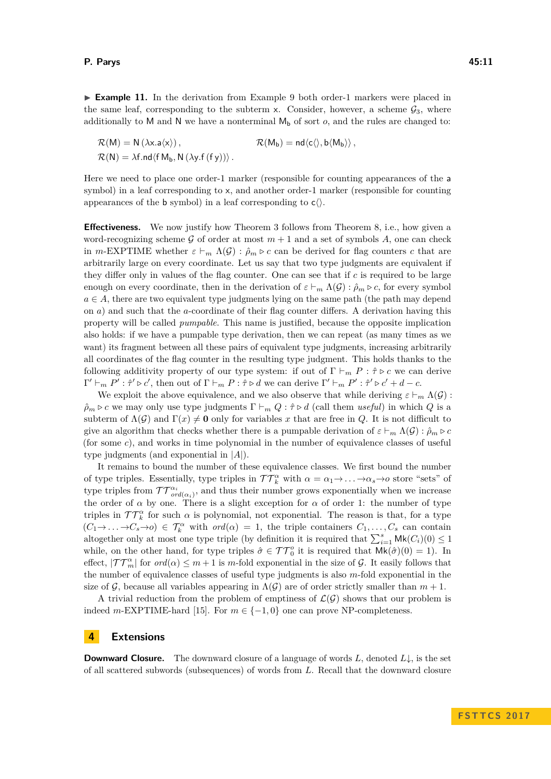$\mathcal{R}(M) = N(\lambda x.a\langle x \rangle),$   $\mathcal{R}(M_b) = nd\langle c \langle a \rangle, b \langle M_b \rangle,$  $\mathcal{R}(N) = \lambda f \cdot nd \langle f M_b, N (\lambda y \cdot f (f y)) \rangle$ .

Here we need to place one order-1 marker (responsible for counting appearances of the a symbol) in a leaf corresponding to x, and another order-1 marker (responsible for counting appearances of the b symbol) in a leaf corresponding to  $c$ .

**Effectiveness.** We now justify how Theorem [3](#page-3-2) follows from Theorem [8,](#page-9-2) i.e., how given a word-recognizing scheme G of order at most  $m + 1$  and a set of symbols A, one can check in *m*-EXPTIME whether  $\varepsilon \vdash_m \Lambda(G) : \hat{\rho}_m \triangleright c$  can be derived for flag counters *c* that are arbitrarily large on every coordinate. Let us say that two type judgments are equivalent if they differ only in values of the flag counter. One can see that if *c* is required to be large enough on every coordinate, then in the derivation of  $\varepsilon \vdash_m \Lambda(\mathcal{G}) : \hat{\rho}_m \triangleright c$ , for every symbol  $a \in A$ , there are two equivalent type judgments lying on the same path (the path may depend on *a*) and such that the *a*-coordinate of their flag counter differs. A derivation having this property will be called *pumpable*. This name is justified, because the opposite implication also holds: if we have a pumpable type derivation, then we can repeat (as many times as we want) its fragment between all these pairs of equivalent type judgments, increasing arbitrarily all coordinates of the flag counter in the resulting type judgment. This holds thanks to the following additivity property of our type system: if out of  $\Gamma \vdash_m P : \hat{\tau} \triangleright c$  we can derive  $\Gamma' \vdash_m P' : \hat{\tau}' \triangleright c'$ , then out of  $\Gamma \vdash_m P : \hat{\tau} \triangleright d$  we can derive  $\Gamma' \vdash_m P' : \hat{\tau}' \triangleright c' + d - c$ .

We exploit the above equivalence, and we also observe that while deriving  $\varepsilon \vdash_m \Lambda(\mathcal{G})$ :  $\rho_m \triangleright c$  we may only use type judgments  $\Gamma \vdash_m Q : \hat{\tau} \triangleright d$  (call them *useful*) in which *Q* is a subterm of  $\Lambda(\mathcal{G})$  and  $\Gamma(x) \neq \mathbf{0}$  only for variables x that are free in *Q*. It is not difficult to give an algorithm that checks whether there is a pumpable derivation of  $\varepsilon \vdash_m \Lambda(\mathcal{G}) : \hat{\rho}_m \triangleright c$ (for some *c*), and works in time polynomial in the number of equivalence classes of useful type judgments (and exponential in |*A*|).

It remains to bound the number of these equivalence classes. We first bound the number of type triples. Essentially, type triples in  $TT_k^{\alpha}$  with  $\alpha = \alpha_1 \rightarrow \ldots \rightarrow \alpha_s \rightarrow o$  store "sets" of type triples from  $TT^{\alpha_i}_{ord(\alpha_i)}$ , and thus their number grows exponentially when we increase the order of  $\alpha$  by one. There is a slight exception for  $\alpha$  of order 1: the number of type triples in  $TT_k^{\alpha}$  for such  $\alpha$  is polynomial, not exponential. The reason is that, for a type  $(C_1 \rightarrow \cdots \rightarrow C_s \rightarrow o) \in \mathcal{T}_k^{\alpha}$  with  $ord(\alpha) = 1$ , the triple containers  $C_1, \ldots, C_s$  can contain altogether only at most one type triple (by definition it is required that  $\sum_{i=1}^{s} \mathsf{Mk}(C_i)(0) \leq 1$ while, on the other hand, for type triples  $\hat{\sigma} \in \mathcal{TT}_0^o$  it is required that  $\mathsf{Mk}(\hat{\sigma})(0) = 1$ . In effect,  $|\mathcal{TT}_{m}^{\alpha}|$  for  $ord(\alpha) \leq m+1$  is *m*-fold exponential in the size of G. It easily follows that the number of equivalence classes of useful type judgments is also *m*-fold exponential in the size of G, because all variables appearing in  $\Lambda(G)$  are of order strictly smaller than  $m + 1$ .

A trivial reduction from the problem of emptiness of  $\mathcal{L}(\mathcal{G})$  shows that our problem is indeed *m*-EXPTIME-hard [\[15\]](#page-13-11). For  $m \in \{-1, 0\}$  one can prove NP-completeness.

# <span id="page-10-0"></span>**4 Extensions**

**Downward Closure.** The downward closure of a language of words *L*, denoted *L*↓, is the set of all scattered subwords (subsequences) of words from *L*. Recall that the downward closure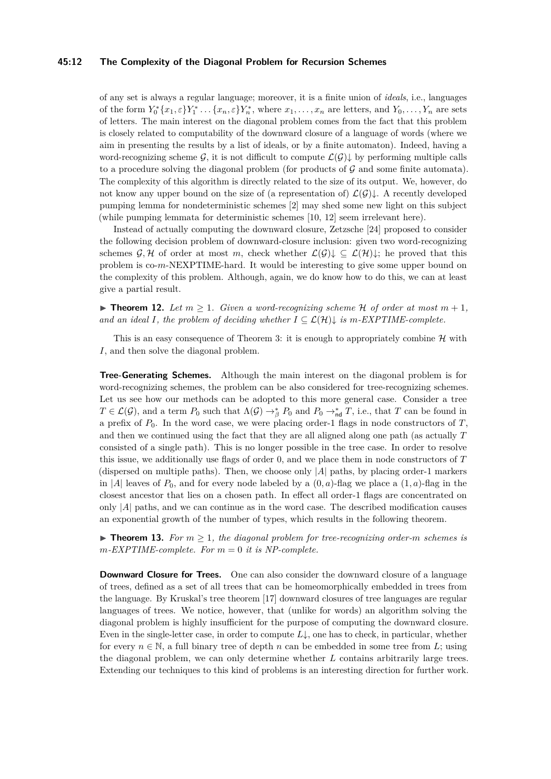## **45:12 The Complexity of the Diagonal Problem for Recursion Schemes**

of any set is always a regular language; moreover, it is a finite union of *ideals*, i.e., languages of the form  $Y_0^*\{x_1, \varepsilon\}Y_1^* \dots \{x_n, \varepsilon\}Y_n^*$ , where  $x_1, \dots, x_n$  are letters, and  $Y_0, \dots, Y_n$  are sets of letters. The main interest on the diagonal problem comes from the fact that this problem is closely related to computability of the downward closure of a language of words (where we aim in presenting the results by a list of ideals, or by a finite automaton). Indeed, having a word-recognizing scheme G, it is not difficult to compute  $\mathcal{L}(\mathcal{G})\downarrow$  by performing multiple calls to a procedure solving the diagonal problem (for products of  $\mathcal G$  and some finite automata). The complexity of this algorithm is directly related to the size of its output. We, however, do not know any upper bound on the size of (a representation of)  $\mathcal{L}(\mathcal{G})\downarrow$ . A recently developed pumping lemma for nondeterministic schemes [\[2\]](#page-12-9) may shed some new light on this subject (while pumping lemmata for deterministic schemes [\[10,](#page-12-10) [12\]](#page-13-6) seem irrelevant here).

Instead of actually computing the downward closure, Zetzsche [\[24\]](#page-13-12) proposed to consider the following decision problem of downward-closure inclusion: given two word-recognizing schemes  $\mathcal{G}, \mathcal{H}$  of order at most *m*, check whether  $\mathcal{L}(\mathcal{G}) \downarrow \subseteq \mathcal{L}(\mathcal{H}) \downarrow$ ; he proved that this problem is co-*m*-NEXPTIME-hard. It would be interesting to give some upper bound on the complexity of this problem. Although, again, we do know how to do this, we can at least give a partial result.

▶ **Theorem 12.** Let  $m > 1$ . Given a word-recognizing scheme H of order at most  $m + 1$ , *and an ideal I, the problem of deciding whether*  $I \subseteq \mathcal{L}(\mathcal{H})\downarrow$  *is m*-*EXPTIME-complete.* 

This is an easy consequence of Theorem [3:](#page-3-2) it is enough to appropriately combine  $\mathcal H$  with *I*, and then solve the diagonal problem.

**Tree-Generating Schemes.** Although the main interest on the diagonal problem is for word-recognizing schemes, the problem can be also considered for tree-recognizing schemes. Let us see how our methods can be adopted to this more general case. Consider a tree  $T \in \mathcal{L}(\mathcal{G})$ , and a term  $P_0$  such that  $\Lambda(\mathcal{G}) \to_{\beta}^* P_0$  and  $P_0 \to_{\sf nd}^* T$ , i.e., that *T* can be found in a prefix of *P*0. In the word case, we were placing order-1 flags in node constructors of *T*, and then we continued using the fact that they are all aligned along one path (as actually *T* consisted of a single path). This is no longer possible in the tree case. In order to resolve this issue, we additionally use flags of order 0, and we place them in node constructors of *T* (dispersed on multiple paths). Then, we choose only |*A*| paths, by placing order-1 markers in |*A*| leaves of  $P_0$ , and for every node labeled by a  $(0, a)$ -flag we place a  $(1, a)$ -flag in the closest ancestor that lies on a chosen path. In effect all order-1 flags are concentrated on only |*A*| paths, and we can continue as in the word case. The described modification causes an exponential growth of the number of types, which results in the following theorem.

**► Theorem 13.** For  $m \geq 1$ , the diagonal problem for tree-recognizing order-*m* schemes is  $m$ *-EXPTIME-complete. For*  $m = 0$  *it is NP-complete.* 

**Downward Closure for Trees.** One can also consider the downward closure of a language of trees, defined as a set of all trees that can be homeomorphically embedded in trees from the language. By Kruskal's tree theorem [\[17\]](#page-13-13) downward closures of tree languages are regular languages of trees. We notice, however, that (unlike for words) an algorithm solving the diagonal problem is highly insufficient for the purpose of computing the downward closure. Even in the single-letter case, in order to compute *L*↓, one has to check, in particular, whether for every  $n \in \mathbb{N}$ , a full binary tree of depth *n* can be embedded in some tree from *L*; using the diagonal problem, we can only determine whether *L* contains arbitrarily large trees. Extending our techniques to this kind of problems is an interesting direction for further work.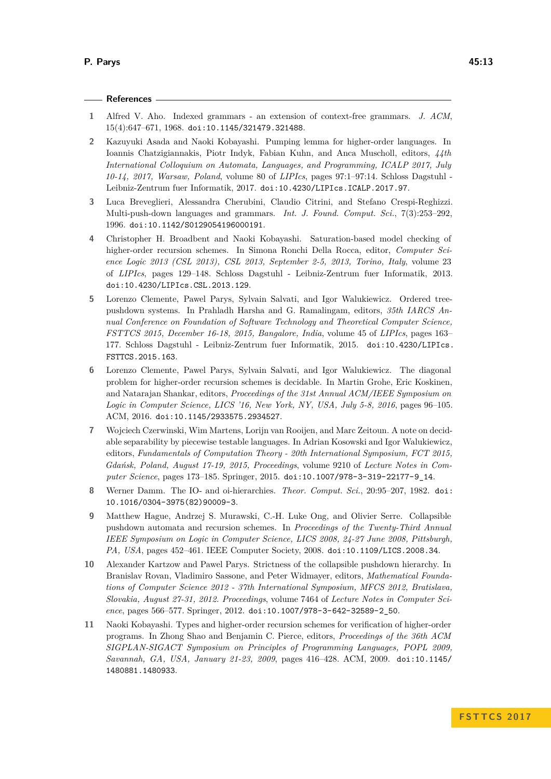# **References**

- <span id="page-12-3"></span>**1** Alfred V. Aho. Indexed grammars - an extension of context-free grammars. *J. ACM*, 15(4):647–671, 1968. [doi:10.1145/321479.321488](http://dx.doi.org/10.1145/321479.321488).
- <span id="page-12-9"></span>**2** Kazuyuki Asada and Naoki Kobayashi. Pumping lemma for higher-order languages. In Ioannis Chatzigiannakis, Piotr Indyk, Fabian Kuhn, and Anca Muscholl, editors, *44th International Colloquium on Automata, Languages, and Programming, ICALP 2017, July 10-14, 2017, Warsaw, Poland*, volume 80 of *LIPIcs*, pages 97:1–97:14. Schloss Dagstuhl - Leibniz-Zentrum fuer Informatik, 2017. [doi:10.4230/LIPIcs.ICALP.2017.97](http://dx.doi.org/10.4230/LIPIcs.ICALP.2017.97).
- <span id="page-12-4"></span>**3** Luca Breveglieri, Alessandra Cherubini, Claudio Citrini, and Stefano Crespi-Reghizzi. Multi-push-down languages and grammars. *Int. J. Found. Comput. Sci.*, 7(3):253–292, 1996. [doi:10.1142/S0129054196000191](http://dx.doi.org/10.1142/S0129054196000191).
- <span id="page-12-8"></span>**4** Christopher H. Broadbent and Naoki Kobayashi. Saturation-based model checking of higher-order recursion schemes. In Simona Ronchi Della Rocca, editor, *Computer Science Logic 2013 (CSL 2013), CSL 2013, September 2-5, 2013, Torino, Italy*, volume 23 of *LIPIcs*, pages 129–148. Schloss Dagstuhl - Leibniz-Zentrum fuer Informatik, 2013. [doi:10.4230/LIPIcs.CSL.2013.129](http://dx.doi.org/10.4230/LIPIcs.CSL.2013.129).
- <span id="page-12-2"></span>**5** Lorenzo Clemente, Pawel Parys, Sylvain Salvati, and Igor Walukiewicz. Ordered treepushdown systems. In Prahladh Harsha and G. Ramalingam, editors, *35th IARCS Annual Conference on Foundation of Software Technology and Theoretical Computer Science, FSTTCS 2015, December 16-18, 2015, Bangalore, India*, volume 45 of *LIPIcs*, pages 163– 177. Schloss Dagstuhl - Leibniz-Zentrum fuer Informatik, 2015. [doi:10.4230/LIPIcs.](http://dx.doi.org/10.4230/LIPIcs.FSTTCS.2015.163) [FSTTCS.2015.163](http://dx.doi.org/10.4230/LIPIcs.FSTTCS.2015.163).
- <span id="page-12-5"></span>**6** Lorenzo Clemente, Pawel Parys, Sylvain Salvati, and Igor Walukiewicz. The diagonal problem for higher-order recursion schemes is decidable. In Martin Grohe, Eric Koskinen, and Natarajan Shankar, editors, *Proceedings of the 31st Annual ACM/IEEE Symposium on Logic in Computer Science, LICS '16, New York, NY, USA, July 5-8, 2016*, pages 96–105. ACM, 2016. [doi:10.1145/2933575.2934527](http://dx.doi.org/10.1145/2933575.2934527).
- <span id="page-12-6"></span>**7** Wojciech Czerwinski, Wim Martens, Lorijn van Rooijen, and Marc Zeitoun. A note on decidable separability by piecewise testable languages. In Adrian Kosowski and Igor Walukiewicz, editors, *Fundamentals of Computation Theory - 20th International Symposium, FCT 2015, Gdańsk, Poland, August 17-19, 2015, Proceedings*, volume 9210 of *Lecture Notes in Computer Science*, pages 173–185. Springer, 2015. [doi:10.1007/978-3-319-22177-9\\_14](http://dx.doi.org/10.1007/978-3-319-22177-9_14).
- <span id="page-12-0"></span>**8** Werner Damm. The IO- and oi-hierarchies. *Theor. Comput. Sci.*, 20:95–207, 1982. [doi:](http://dx.doi.org/10.1016/0304-3975(82)90009-3) [10.1016/0304-3975\(82\)90009-3](http://dx.doi.org/10.1016/0304-3975(82)90009-3).
- <span id="page-12-1"></span>**9** Matthew Hague, Andrzej S. Murawski, C.-H. Luke Ong, and Olivier Serre. Collapsible pushdown automata and recursion schemes. In *Proceedings of the Twenty-Third Annual IEEE Symposium on Logic in Computer Science, LICS 2008, 24-27 June 2008, Pittsburgh, PA, USA*, pages 452–461. IEEE Computer Society, 2008. [doi:10.1109/LICS.2008.34](http://dx.doi.org/10.1109/LICS.2008.34).
- <span id="page-12-10"></span>**10** Alexander Kartzow and Pawel Parys. Strictness of the collapsible pushdown hierarchy. In Branislav Rovan, Vladimiro Sassone, and Peter Widmayer, editors, *Mathematical Foundations of Computer Science 2012 - 37th International Symposium, MFCS 2012, Bratislava, Slovakia, August 27-31, 2012. Proceedings*, volume 7464 of *Lecture Notes in Computer Science*, pages 566–577. Springer, 2012. [doi:10.1007/978-3-642-32589-2\\_50](http://dx.doi.org/10.1007/978-3-642-32589-2_50).
- <span id="page-12-7"></span>**11** Naoki Kobayashi. Types and higher-order recursion schemes for verification of higher-order programs. In Zhong Shao and Benjamin C. Pierce, editors, *Proceedings of the 36th ACM SIGPLAN-SIGACT Symposium on Principles of Programming Languages, POPL 2009, Savannah, GA, USA, January 21-23, 2009*, pages 416–428. ACM, 2009. [doi:10.1145/](http://dx.doi.org/10.1145/1480881.1480933) [1480881.1480933](http://dx.doi.org/10.1145/1480881.1480933).